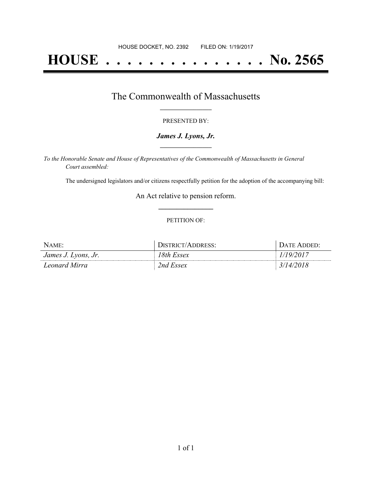# **HOUSE . . . . . . . . . . . . . . . No. 2565**

## The Commonwealth of Massachusetts **\_\_\_\_\_\_\_\_\_\_\_\_\_\_\_\_\_**

#### PRESENTED BY:

#### *James J. Lyons, Jr.* **\_\_\_\_\_\_\_\_\_\_\_\_\_\_\_\_\_**

*To the Honorable Senate and House of Representatives of the Commonwealth of Massachusetts in General Court assembled:*

The undersigned legislators and/or citizens respectfully petition for the adoption of the accompanying bill:

An Act relative to pension reform. **\_\_\_\_\_\_\_\_\_\_\_\_\_\_\_**

#### PETITION OF:

| NAME:               | DISTRICT/ADDRESS: | ()ATE ADDED:     |
|---------------------|-------------------|------------------|
| James J. Lyons, Jr. | 8th Essex         | 19/2017          |
| Leonard Mirra       | 2nd Essex         | <i>3/14/2018</i> |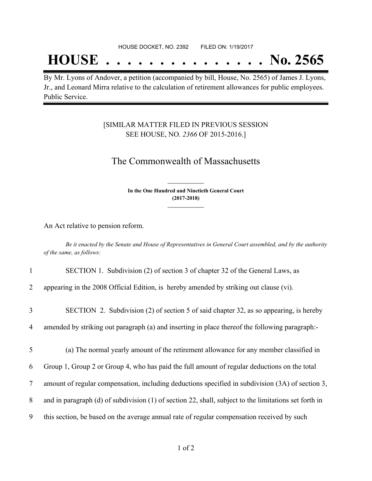## **HOUSE . . . . . . . . . . . . . . . No. 2565**

By Mr. Lyons of Andover, a petition (accompanied by bill, House, No. 2565) of James J. Lyons, Jr., and Leonard Mirra relative to the calculation of retirement allowances for public employees. Public Service.

### [SIMILAR MATTER FILED IN PREVIOUS SESSION SEE HOUSE, NO. *2366* OF 2015-2016.]

## The Commonwealth of Massachusetts

**In the One Hundred and Ninetieth General Court (2017-2018) \_\_\_\_\_\_\_\_\_\_\_\_\_\_\_**

**\_\_\_\_\_\_\_\_\_\_\_\_\_\_\_**

An Act relative to pension reform.

Be it enacted by the Senate and House of Representatives in General Court assembled, and by the authority *of the same, as follows:*

1 SECTION 1. Subdivision (2) of section 3 of chapter 32 of the General Laws, as

2 appearing in the 2008 Official Edition, is hereby amended by striking out clause (vi).

3 SECTION 2. Subdivision (2) of section 5 of said chapter 32, as so appearing, is hereby

4 amended by striking out paragraph (a) and inserting in place thereof the following paragraph:-

5 (a) The normal yearly amount of the retirement allowance for any member classified in

6 Group 1, Group 2 or Group 4, who has paid the full amount of regular deductions on the total

7 amount of regular compensation, including deductions specified in subdivision (3A) of section 3,

8 and in paragraph (d) of subdivision (1) of section 22, shall, subject to the limitations set forth in

9 this section, be based on the average annual rate of regular compensation received by such